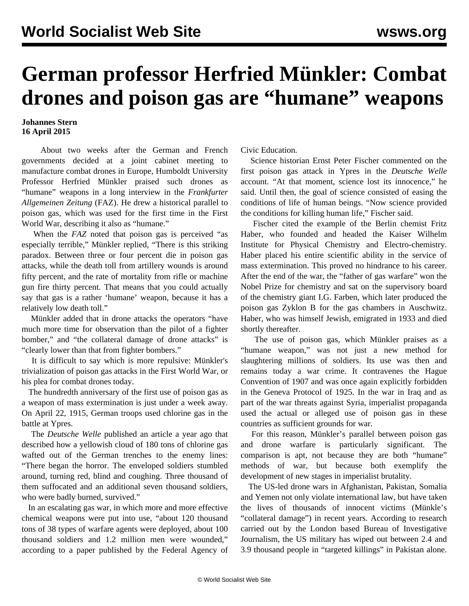## **German professor Herfried Münkler: Combat drones and poison gas are "humane" weapons**

## **Johannes Stern 16 April 2015**

 About two weeks after the German and French governments [decided](/en/articles/2015/04/03/euro-a03.html) at a joint cabinet meeting to manufacture combat drones in Europe, Humboldt University Professor Herfried Münkler praised such drones as "humane" weapons in a long [interview](http://www.faz.net/aktuell/feuilleton/die-gemeine-waffe-ein-gespraech-mit-herfried-muenkler-ueber-die-entwicklung-der-kriegstechnik-13533124.html?printPagedArticle=true#pageIndex_2) in the *Frankfurter Allgemeinen Zeitung* (FAZ). He drew a historical parallel to poison gas, which was used for the first time in the First World War, describing it also as "humane."

 When the *FAZ* noted that poison gas is perceived "as especially terrible," Münkler replied, "There is this striking paradox. Between three or four percent die in poison gas attacks, while the death toll from artillery wounds is around fifty percent, and the rate of mortality from rifle or machine gun fire thirty percent. That means that you could actually say that gas is a rather 'humane' weapon, because it has a relatively low death toll."

 Münkler added that in drone attacks the operators "have much more time for observation than the pilot of a fighter bomber," and "the collateral damage of drone attacks" is "clearly lower than that from fighter bombers."

 It is difficult to say which is more repulsive: Münkler's trivialization of poison gas attacks in the First World War, or his plea for combat drones today.

 The hundredth anniversary of the first use of poison gas as a weapon of mass extermination is just under a week away. On April 22, 1915, German troops used chlorine gas in the battle at Ypres.

 The *Deutsche Welle* published an [article](http://www.dw.de/der-erste-einsatz-von-giftgas-als-kriegswaffe/a-17053767) a year ago that described how a yellowish cloud of 180 tons of chlorine gas wafted out of the German trenches to the enemy lines: "There began the horror. The enveloped soldiers stumbled around, turning red, blind and coughing. Three thousand of them suffocated and an additional seven thousand soldiers, who were badly burned, survived."

 In an escalating gas war, in which more and more effective chemical weapons were put into use, "about 120 thousand tons of 38 types of warfare agents were deployed, about 100 thousand soldiers and 1.2 million men were wounded," according to a paper published by the Federal Agency of Civic Education.

 Science historian Ernst Peter Fischer commented on the first poison gas attack in Ypres in the *Deutsche Welle* account. "At that moment, science lost its innocence," he said. Until then, the goal of science consisted of easing the conditions of life of human beings. "Now science provided the conditions for killing human life," Fischer said.

 Fischer cited the example of the Berlin chemist Fritz Haber, who founded and headed the Kaiser Wilhelm Institute for Physical Chemistry and Electro-chemistry. Haber placed his entire scientific ability in the service of mass extermination. This proved no hindrance to his career. After the end of the war, the "father of gas warfare" won the Nobel Prize for chemistry and sat on the supervisory board of the chemistry giant I.G. Farben, which later produced the poison gas Zyklon B for the gas chambers in Auschwitz. Haber, who was himself Jewish, emigrated in 1933 and died shortly thereafter.

 The use of poison gas, which Münkler praises as a "humane weapon," was not just a new method for slaughtering millions of soldiers. Its use was then and remains today a war crime. It contravenes the Hague Convention of 1907 and was once again explicitly forbidden in the Geneva Protocol of 1925. In the war in Iraq and as part of the war threats against Syria, imperialist propaganda used the actual or alleged use of poison gas in these countries as sufficient grounds for war.

 For this reason, Münkler's parallel between poison gas and drone warfare is particularly significant. The comparison is apt, not because they are both "humane" methods of war, but because both exemplify the development of new stages in imperialist brutality.

 The US-led drone wars in Afghanistan, Pakistan, Somalia and Yemen not only violate international law, but have taken the lives of thousands of innocent victims (Münkle's "collateral damage") in recent years. According to research carried out by the London based Bureau of Investigative Journalism, the US military has wiped out between 2.4 and 3.9 thousand people in "targeted killings" in Pakistan alone.